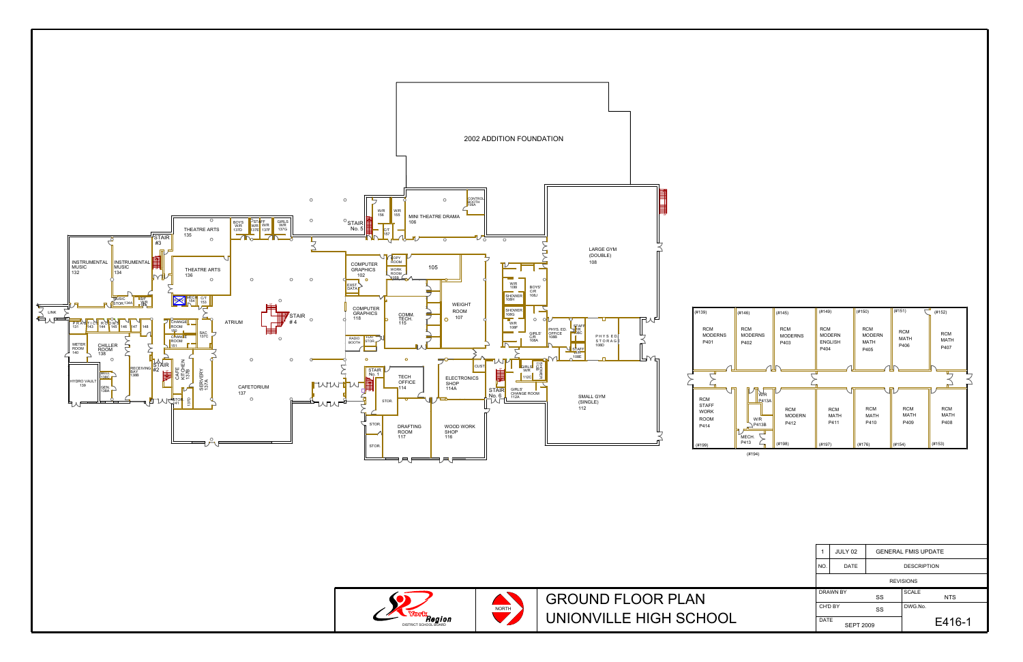

**DISTRICT SCHOOL BOARD** 

UNIONVILLE HIGH SCHOOL GROUND FLOOR PLAN

| 1                               | JULY 02     | <b>GENERAL FMIS UPDATE</b> |                            |
|---------------------------------|-------------|----------------------------|----------------------------|
| NO.                             | <b>DATE</b> |                            | <b>DESCRIPTION</b>         |
| <b>REVISIONS</b>                |             |                            |                            |
| <b>DRAWN BY</b>                 |             | SS                         | <b>SCALE</b><br><b>NTS</b> |
| CH'D BY                         |             | SS                         | DWG.No.                    |
| <b>DATE</b><br><b>SEPT 2009</b> |             |                            | E416-1                     |
|                                 |             |                            |                            |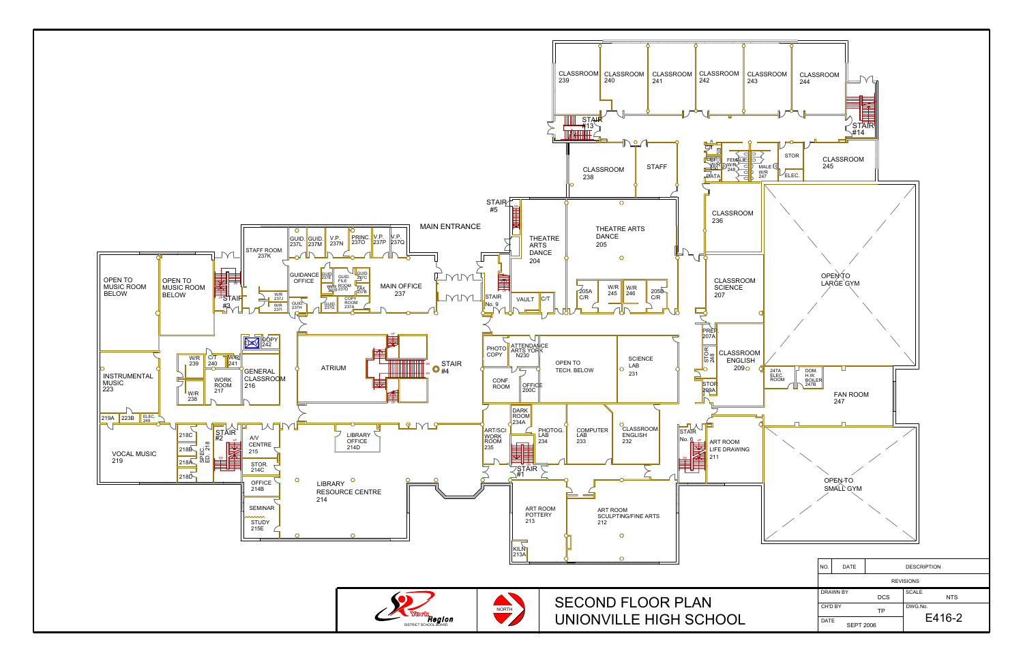